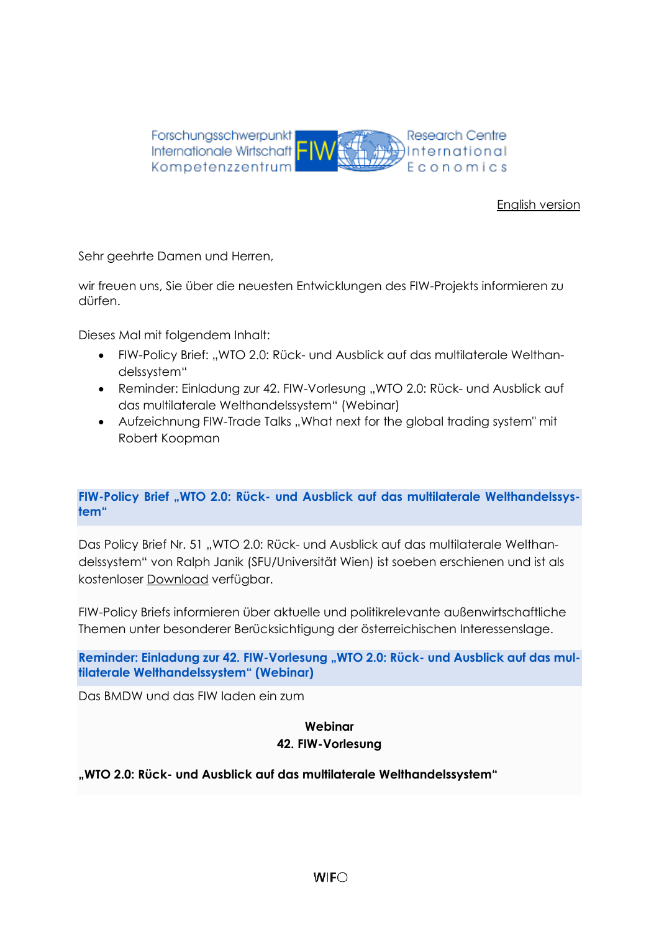

# [English version](#page-2-0)

Sehr geehrte Damen und Herren,

wir freuen uns, Sie über die neuesten Entwicklungen des FIW-Projekts informieren zu dürfen.

Dieses Mal mit folgendem Inhalt:

- FIW-Policy Brief: "WTO 2.0: Rück- und Ausblick auf das multilaterale Welthandelssystem"
- Reminder: Einladung zur 42. FIW-Vorlesung "WTO 2.0: Rück- und Ausblick auf das multilaterale Welthandelssystem" (Webinar)
- Aufzeichnung FIW-Trade Talks ..What next for the alobal trading system" mit Robert Koopman

# **FIW-Policy Brief "WTO 2.0: Rück- und Ausblick auf das multilaterale Welthandelssystem"**

Das Policy Brief Nr. 51 "WTO 2.0: Rück- und Ausblick auf das multilaterale Welthandelssystem" von Ralph Janik (SFU/Universität Wien) ist soeben erschienen und ist als kostenloser [Download](https://fiw.ac.at/fileadmin/Documents/Publikationen/Policy_Briefs/51_FIW_Policy_Brief_Janik.pdf) verfügbar.

FIW-Policy Briefs informieren über aktuelle und politikrelevante außenwirtschaftliche Themen unter besonderer Berücksichtigung der österreichischen Interessenslage.

Reminder: Einladung zur 42. FIW-Vorlesung "WTO 2.0: Rück- und Ausblick auf das mul**tilaterale Welthandelssystem" (Webinar)**

Das BMDW und das FIW laden ein zum

#### **Webinar 42. FIW-Vorlesung**

# **"WTO 2.0: Rück- und Ausblick auf das multilaterale Welthandelssystem"**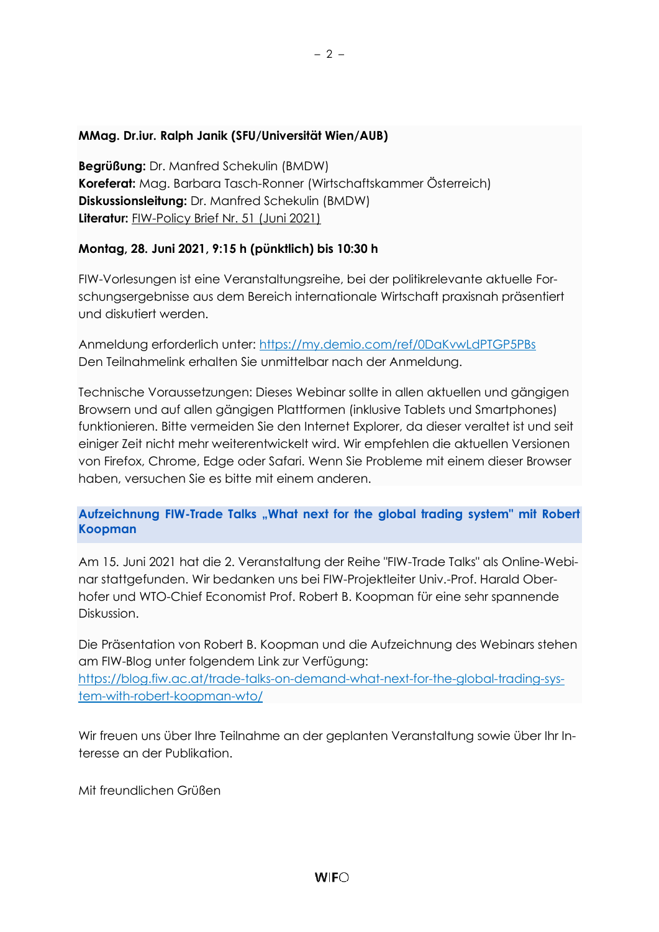# **MMag. Dr.iur. Ralph Janik (SFU/Universität Wien/AUB)**

**Begrüßung:** Dr. Manfred Schekulin (BMDW) **Koreferat:** Mag. Barbara Tasch-Ronner (Wirtschaftskammer Österreich) **Diskussionsleitung:** Dr. Manfred Schekulin (BMDW) **Literatur:** [FIW-Policy Brief Nr. 51 \(Juni 2021\)](https://fiw.ac.at/fileadmin/Documents/Publikationen/Policy_Briefs/51_FIW_Policy_Brief_Janik.pdf)

# **Montag, 28. Juni 2021, 9:15 h (pünktlich) bis 10:30 h**

FIW-Vorlesungen ist eine Veranstaltungsreihe, bei der politikrelevante aktuelle Forschungsergebnisse aus dem Bereich internationale Wirtschaft praxisnah präsentiert und diskutiert werden.

Anmeldung erforderlich unter:<https://my.demio.com/ref/0DaKvwLdPTGP5PBs> Den Teilnahmelink erhalten Sie unmittelbar nach der Anmeldung.

Technische Voraussetzungen: Dieses Webinar sollte in allen aktuellen und gängigen Browsern und auf allen gängigen Plattformen (inklusive Tablets und Smartphones) funktionieren. Bitte vermeiden Sie den Internet Explorer, da dieser veraltet ist und seit einiger Zeit nicht mehr weiterentwickelt wird. Wir empfehlen die aktuellen Versionen von Firefox, Chrome, Edge oder Safari. Wenn Sie Probleme mit einem dieser Browser haben, versuchen Sie es bitte mit einem anderen.

# Aufzeichnung FIW-Trade Talks "What next for the global trading system" mit Robert **Koopman**

Am 15. Juni 2021 hat die 2. Veranstaltung der Reihe "FIW-Trade Talks" als Online-Webinar stattgefunden. Wir bedanken uns bei FIW-Projektleiter Univ.-Prof. Harald Oberhofer und WTO-Chief Economist Prof. Robert B. Koopman für eine sehr spannende Diskussion.

Die Präsentation von Robert B. Koopman und die Aufzeichnung des Webinars stehen am FIW-Blog unter folgendem Link zur Verfügung:

[https://blog.fiw.ac.at/trade-talks-on-demand-what-next-for-the-global-trading-sys](https://blog.fiw.ac.at/trade-talks-on-demand-what-next-for-the-global-trading-system-with-robert-koopman-wto/)[tem-with-robert-koopman-wto/](https://blog.fiw.ac.at/trade-talks-on-demand-what-next-for-the-global-trading-system-with-robert-koopman-wto/)

Wir freuen uns über Ihre Teilnahme an der geplanten Veranstaltung sowie über Ihr Interesse an der Publikation.

Mit freundlichen Grüßen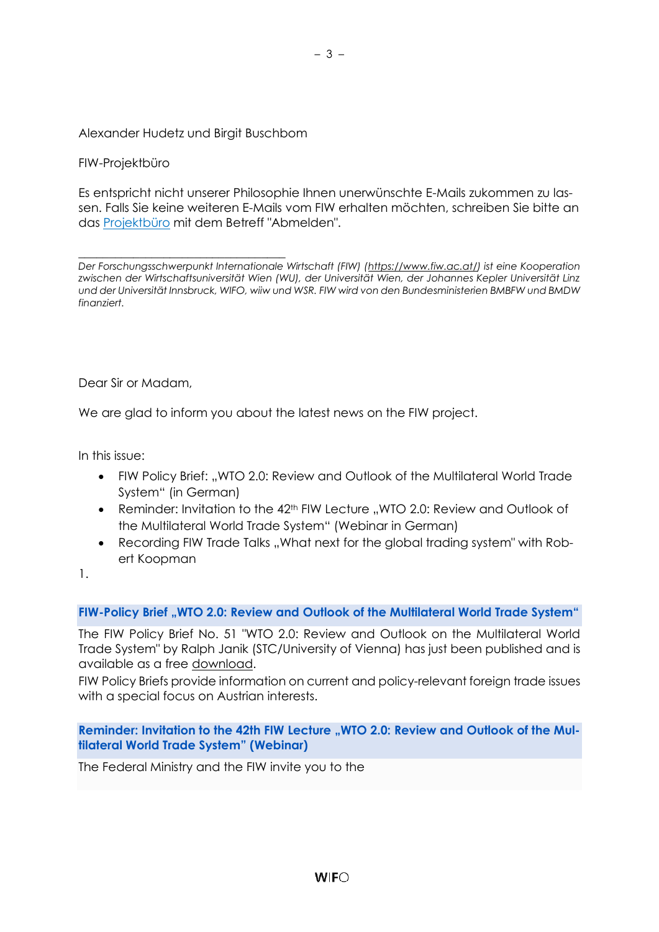### Alexander Hudetz und Birgit Buschbom

#### FIW-Projektbüro

Es entspricht nicht unserer Philosophie Ihnen unerwünschte E-Mails zukommen zu lassen. Falls Sie keine weiteren E-Mails vom FIW erhalten möchten, schreiben Sie bitte an das [Projektbüro](mailto:fiw-pb@fiw.at) mit dem Betreff "Abmelden".

\_\_\_\_\_\_\_\_\_\_\_\_\_\_\_\_\_\_\_\_\_\_\_\_\_\_\_\_\_\_\_\_\_\_ *Der Forschungsschwerpunkt Internationale Wirtschaft (FIW) [\(https://www.fiw.ac.at/\)](https://www.fiw.ac.at/) ist eine Kooperation zwischen der Wirtschaftsuniversität Wien (WU), der Universität Wien, der Johannes Kepler Universität Linz und der Universität Innsbruck, WIFO, wiiw und WSR. FIW wird von den Bundesministerien BMBFW und BMDW finanziert.*

<span id="page-2-0"></span>Dear Sir or Madam,

We are glad to inform you about the latest news on the FIW project.

In this issue:

- FIW Policy Brief: "WTO 2.0: Review and Outlook of the Multilateral World Trade System" (in German)
- Reminder: Invitation to the 42<sup>th</sup> FIW Lecture "WTO 2.0: Review and Outlook of the Multilateral World Trade System" (Webinar in German)
- Recording FIW Trade Talks ..What next for the global trading system" with Robert Koopman

1.

#### **FIW-Policy Brief "WTO 2.0: Review and Outlook of the Multilateral World Trade System"**

The FIW Policy Brief No. 51 "WTO 2.0: Review and Outlook on the Multilateral World Trade System" by Ralph Janik (STC/University of Vienna) has just been published and is available as a free [download.](https://fiw.ac.at/fileadmin/Documents/Publikationen/Policy_Briefs/51_FIW_Policy_Brief_Janik.pdf)

FIW Policy Briefs provide information on current and policy-relevant foreign trade issues with a special focus on Austrian interests.

Reminder: Invitation to the 42th FIW Lecture "WTO 2.0: Review and Outlook of the Mul**tilateral World Trade System" (Webinar)**

The Federal Ministry and the FIW invite you to the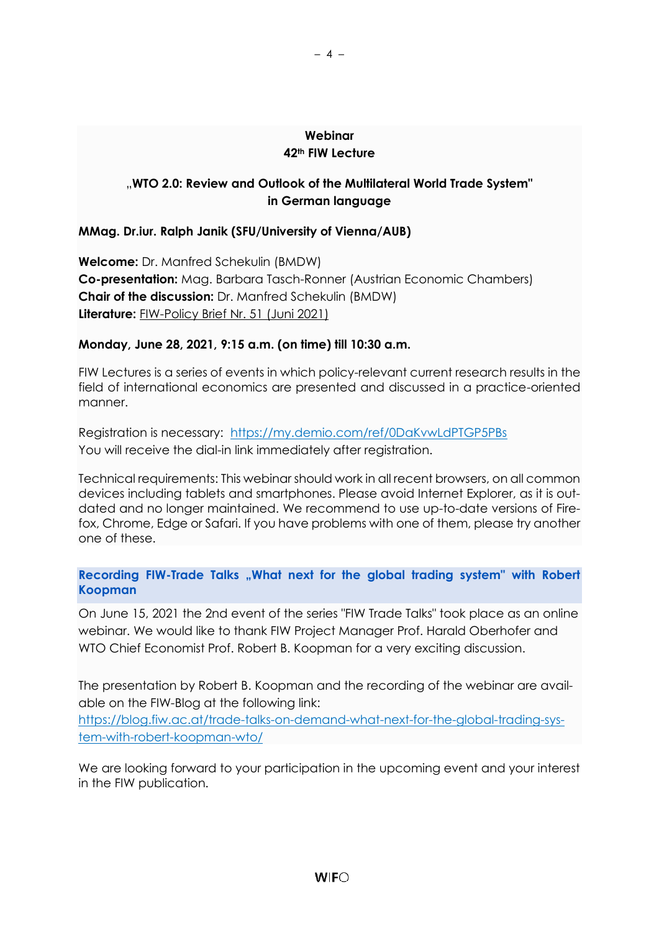### **Webinar 42th FIW Lecture**

– 4 –

# "**WTO 2.0: Review and Outlook of the Multilateral World Trade System" in German language**

# **MMag. Dr.iur. Ralph Janik (SFU/University of Vienna/AUB)**

**Welcome:** Dr. Manfred Schekulin (BMDW) **Co-presentation:** Mag. Barbara Tasch-Ronner (Austrian Economic Chambers) **Chair of the discussion:** Dr. Manfred Schekulin (BMDW) **Literature:** [FIW-Policy Brief Nr. 51 \(Juni 2021\)](https://fiw.ac.at/fileadmin/Documents/Publikationen/Policy_Briefs/51_FIW_Policy_Brief_Janik.pdf)

# **Monday, June 28, 2021, 9:15 a.m. (on time) till 10:30 a.m.**

FIW Lectures is a series of events in which policy-relevant current research results in the field of international economics are presented and discussed in a practice-oriented manner.

Registration is necessary: <https://my.demio.com/ref/0DaKvwLdPTGP5PBs> You will receive the dial-in link immediately after registration.

Technical requirements: This webinar should work in all recent browsers, on all common devices including tablets and smartphones. Please avoid Internet Explorer, as it is outdated and no longer maintained. We recommend to use up-to-date versions of Firefox, Chrome, Edge or Safari. If you have problems with one of them, please try another one of these.

**Recording FIW-Trade Talks "What next for the global trading system" with Robert Koopman** 

On June 15, 2021 the 2nd event of the series "FIW Trade Talks" took place as an online webinar. We would like to thank FIW Project Manager Prof. Harald Oberhofer and WTO Chief Economist Prof. Robert B. Koopman for a very exciting discussion.

The presentation by Robert B. Koopman and the recording of the webinar are available on the FIW-Blog at the following link:

[https://blog.fiw.ac.at/trade-talks-on-demand-what-next-for-the-global-trading-sys](https://blog.fiw.ac.at/trade-talks-on-demand-what-next-for-the-global-trading-system-with-robert-koopman-wto/)[tem-with-robert-koopman-wto/](https://blog.fiw.ac.at/trade-talks-on-demand-what-next-for-the-global-trading-system-with-robert-koopman-wto/)

We are looking forward to your participation in the upcoming event and your interest in the FIW publication.